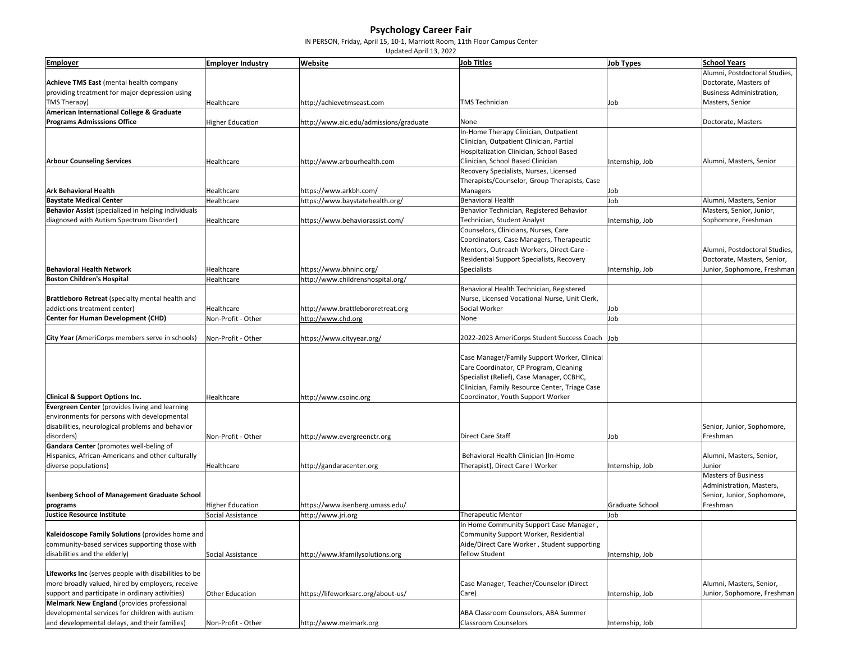## **Psychology Career Fair**

IN PERSON, Friday, April 15, 10‐1, Marriott Room, 11th Floor Campus Center

Updated April 13, 2022

| <b>Employer</b>                                      | <b>Employer Industry</b> | Website                                | <b>Job Titles</b>                                                                | <b>Job Types</b> | <b>School Years</b>           |
|------------------------------------------------------|--------------------------|----------------------------------------|----------------------------------------------------------------------------------|------------------|-------------------------------|
|                                                      |                          |                                        |                                                                                  |                  | Alumni, Postdoctoral Studies, |
| Achieve TMS East (mental health company              |                          |                                        |                                                                                  |                  | Doctorate, Masters of         |
| providing treatment for major depression using       |                          |                                        |                                                                                  |                  | Business Administration,      |
| TMS Therapy)                                         | Healthcare               | http://achievetmseast.com              | <b>TMS Technician</b>                                                            | Job              | Masters, Senior               |
| American International College & Graduate            |                          |                                        |                                                                                  |                  |                               |
| <b>Programs Admisssions Office</b>                   | <b>Higher Education</b>  | http://www.aic.edu/admissions/graduate | None                                                                             |                  | Doctorate, Masters            |
|                                                      |                          |                                        | In-Home Therapy Clinician, Outpatient                                            |                  |                               |
|                                                      |                          |                                        | Clinician, Outpatient Clinician, Partial                                         |                  |                               |
|                                                      |                          |                                        | Hospitalization Clinician, School Based                                          |                  |                               |
| <b>Arbour Counseling Services</b>                    | Healthcare               | http://www.arbourhealth.com            | Clinician, School Based Clinician                                                | Internship, Job  | Alumni, Masters, Senior       |
|                                                      |                          |                                        | Recovery Specialists, Nurses, Licensed                                           |                  |                               |
|                                                      |                          |                                        | Therapists/Counselor, Group Therapists, Case                                     |                  |                               |
| <b>Ark Behavioral Health</b>                         | Healthcare               | https://www.arkbh.com/                 | Managers                                                                         | Job              |                               |
| <b>Baystate Medical Center</b>                       | Healthcare               | https://www.baystatehealth.org/        | <b>Behavioral Health</b>                                                         | Job              | Alumni, Masters, Senior       |
| Behavior Assist (specialized in helping individuals  |                          |                                        | Behavior Technician, Registered Behavior                                         |                  | Masters, Senior, Junior,      |
| diagnosed with Autism Spectrum Disorder)             | Healthcare               | https://www.behaviorassist.com/        | Technician, Student Analyst                                                      | Internship, Job  | Sophomore, Freshman           |
|                                                      |                          |                                        | Counselors, Clinicians, Nurses, Care<br>Coordinators, Case Managers, Therapeutic |                  |                               |
|                                                      |                          |                                        | Mentors, Outreach Workers, Direct Care -                                         |                  | Alumni, Postdoctoral Studies, |
|                                                      |                          |                                        | Residential Support Specialists, Recovery                                        |                  | Doctorate, Masters, Senior,   |
| <b>Behavioral Health Network</b>                     | Healthcare               | https://www.bhninc.org/                | <b>Specialists</b>                                                               | Internship, Job  | Junior, Sophomore, Freshman   |
| <b>Boston Children's Hospital</b>                    | Healthcare               | http://www.childrenshospital.org/      |                                                                                  |                  |                               |
|                                                      |                          |                                        | Behavioral Health Technician, Registered                                         |                  |                               |
| Brattleboro Retreat (specialty mental health and     |                          |                                        | Nurse, Licensed Vocational Nurse, Unit Clerk,                                    |                  |                               |
| addictions treatment center)                         | Healthcare               | http://www.brattlebororetreat.org      | Social Worker                                                                    | Job              |                               |
| <b>Center for Human Development (CHD)</b>            | Non-Profit - Other       | http://www.chd.org                     | None                                                                             | Job              |                               |
|                                                      |                          |                                        |                                                                                  |                  |                               |
| City Year (AmeriCorps members serve in schools)      | Non-Profit - Other       | https://www.cityyear.org/              | 2022-2023 AmeriCorps Student Success Coach Job                                   |                  |                               |
|                                                      |                          |                                        |                                                                                  |                  |                               |
|                                                      |                          |                                        | Case Manager/Family Support Worker, Clinical                                     |                  |                               |
|                                                      |                          |                                        | Care Coordinator, CP Program, Cleaning                                           |                  |                               |
|                                                      |                          |                                        | Specialist (Relief), Case Manager, CCBHC,                                        |                  |                               |
|                                                      |                          |                                        | Clinician, Family Resource Center, Triage Case                                   |                  |                               |
| <b>Clinical &amp; Support Options Inc.</b>           | Healthcare               | http://www.csoinc.org                  | Coordinator, Youth Support Worker                                                |                  |                               |
| Evergreen Center (provides living and learning       |                          |                                        |                                                                                  |                  |                               |
| environments for persons with developmental          |                          |                                        |                                                                                  |                  |                               |
| disabilities, neurological problems and behavior     |                          |                                        |                                                                                  |                  | Senior, Junior, Sophomore,    |
| disorders)                                           | Non-Profit - Other       | http://www.evergreenctr.org            | <b>Direct Care Staff</b>                                                         | Job              | Freshman                      |
| Gandara Center (promotes well-beling of              |                          |                                        |                                                                                  |                  |                               |
| Hispanics, African-Americans and other culturally    |                          |                                        | Behavioral Health Clinician [In-Home                                             |                  | Alumni, Masters, Senior,      |
| diverse populations)                                 | Healthcare               | http://gandaracenter.org               | Therapist], Direct Care I Worker                                                 | Internship, Job  | Junior                        |
|                                                      |                          |                                        |                                                                                  |                  | <b>Masters of Business</b>    |
|                                                      |                          |                                        |                                                                                  |                  | Administration, Masters,      |
| <b>Isenberg School of Management Graduate School</b> |                          |                                        |                                                                                  |                  | Senior, Junior, Sophomore,    |
| programs                                             | <b>Higher Education</b>  | https://www.isenberg.umass.edu/        |                                                                                  | Graduate School  | Freshman                      |
| <b>Justice Resource Institute</b>                    | Social Assistance        | http://www.jri.org                     | <b>Therapeutic Mentor</b>                                                        | Job              |                               |
|                                                      |                          |                                        | In Home Community Support Case Manager,                                          |                  |                               |
| Kaleidoscope Family Solutions (provides home and     |                          |                                        | Community Support Worker, Residential                                            |                  |                               |
| community-based services supporting those with       |                          |                                        | Aide/Direct Care Worker, Student supporting                                      |                  |                               |
| disabilities and the elderly)                        | Social Assistance        | http://www.kfamilysolutions.org        | fellow Student                                                                   | Internship, Job  |                               |
|                                                      |                          |                                        |                                                                                  |                  |                               |
| Lifeworks Inc (serves people with disabilities to be |                          |                                        |                                                                                  |                  |                               |
| more broadly valued, hired by employers, receive     |                          |                                        | Case Manager, Teacher/Counselor (Direct                                          |                  | Alumni, Masters, Senior,      |
| support and participate in ordinary activities)      | Other Education          | https://lifeworksarc.org/about-us/     | Care)                                                                            | Internship, Job  | Junior, Sophomore, Freshman   |
| Melmark New England (provides professional           |                          |                                        |                                                                                  |                  |                               |
| developmental services for children with autism      |                          |                                        | ABA Classroom Counselors, ABA Summer                                             |                  |                               |
| and developmental delays, and their families)        | Non-Profit - Other       | http://www.melmark.org                 | <b>Classroom Counselors</b>                                                      | Internship, Job  |                               |